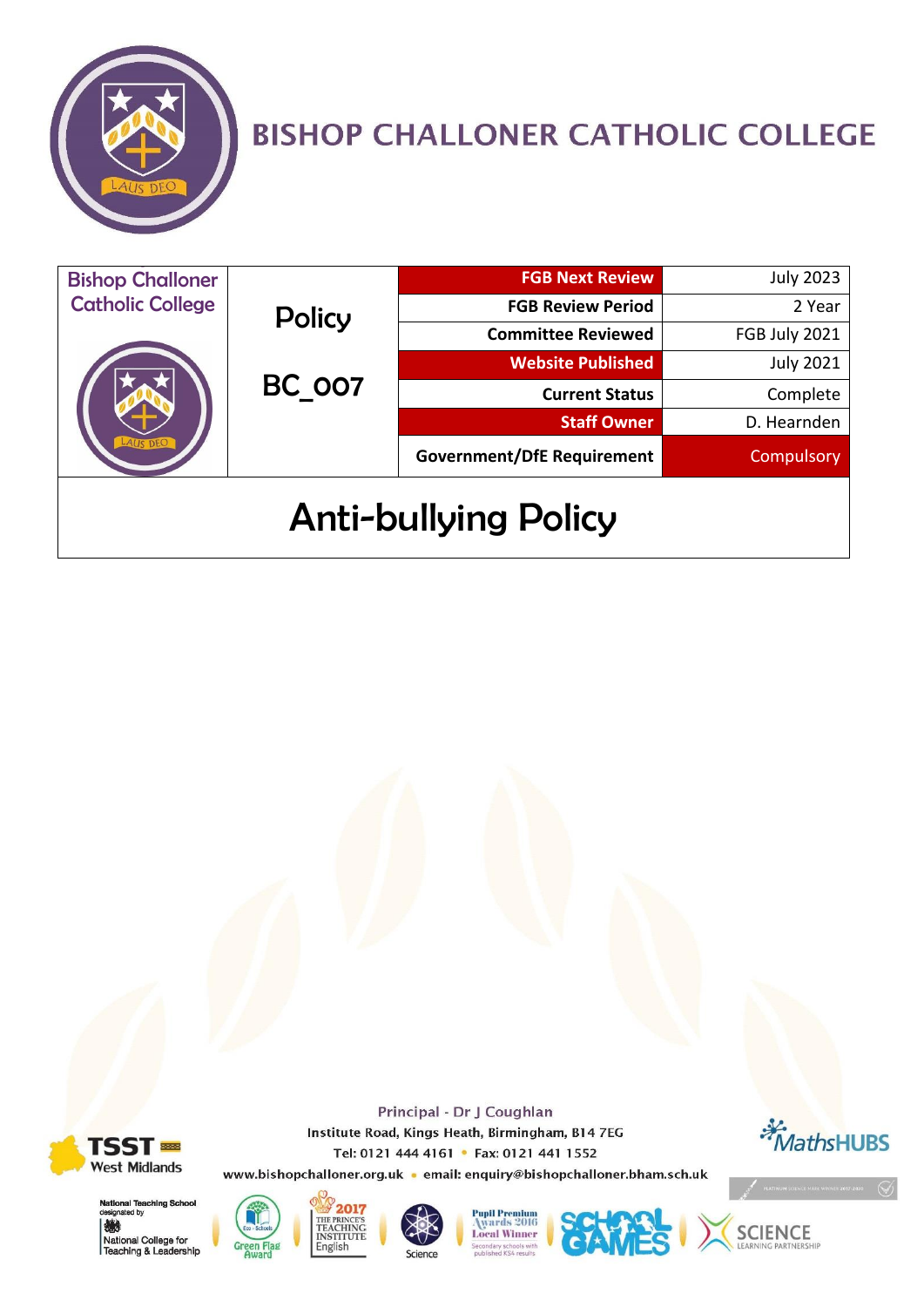

# **BISHOP CHALLONER CATHOLIC COLLEGE**

| <b>Bishop Challoner</b>     |                         | <b>FGB Next Review</b>            | <b>July 2023</b> |
|-----------------------------|-------------------------|-----------------------------------|------------------|
| <b>Catholic College</b>     | <b>Policy</b><br>BC 007 | <b>FGB Review Period</b>          | 2 Year           |
|                             |                         | <b>Committee Reviewed</b>         | FGB July 2021    |
|                             |                         | <b>Website Published</b>          | <b>July 2021</b> |
|                             |                         | <b>Current Status</b>             | Complete         |
|                             |                         | <b>Staff Owner</b>                | D. Hearnden      |
|                             |                         | <b>Government/DfE Requirement</b> | Compulsory       |
| <b>Anti-bullying Policy</b> |                         |                                   |                  |

**TSST ■ West Midlands** 

鰷





English





Principal - Dr J Coughlan

Institute Road, Kings Heath, Birmingham, B14 7EG





*<b>K* MathsHUBS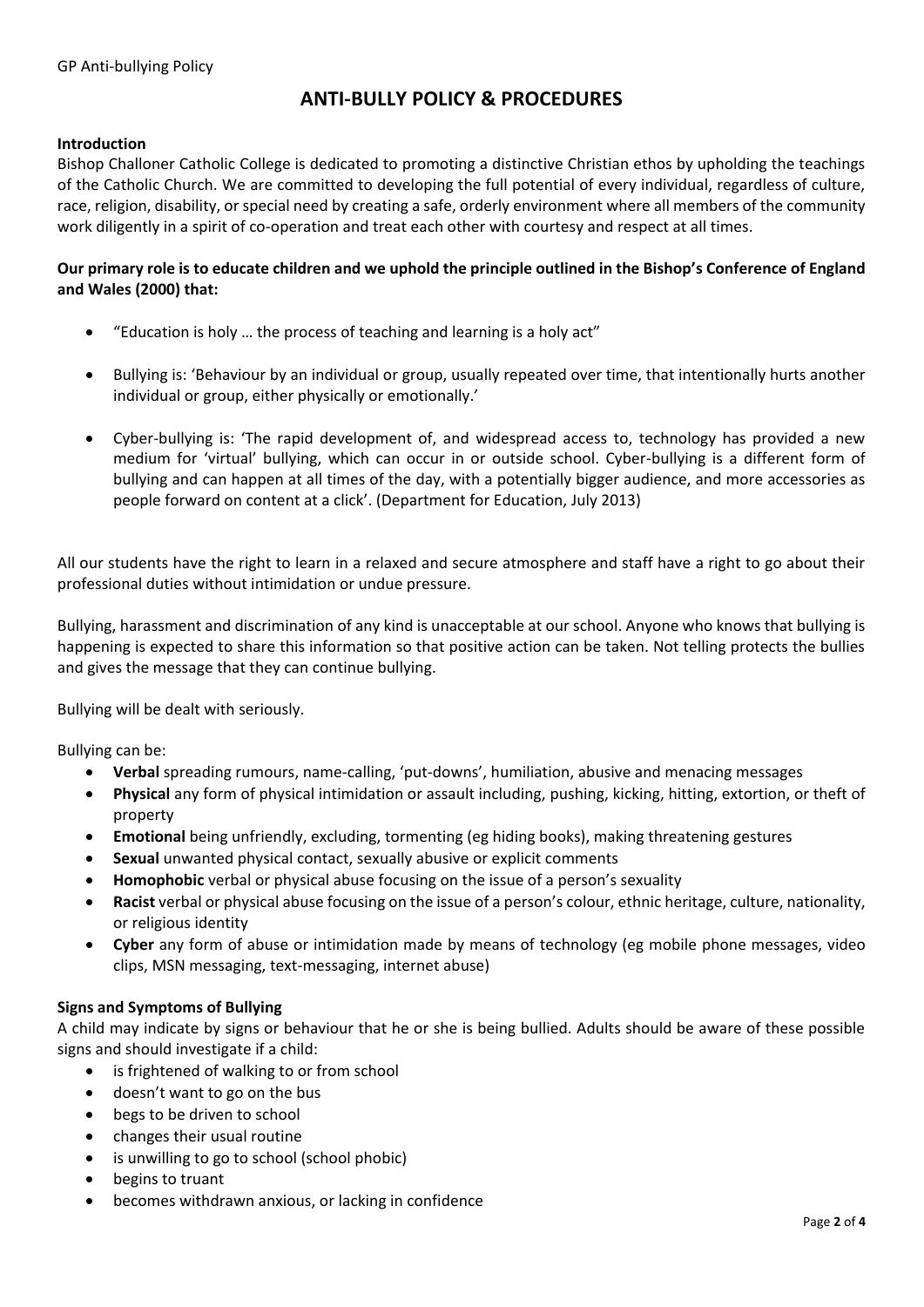## **ANTI-BULLY POLICY & PROCEDURES**

#### **Introduction**

Bishop Challoner Catholic College is dedicated to promoting a distinctive Christian ethos by upholding the teachings of the Catholic Church. We are committed to developing the full potential of every individual, regardless of culture, race, religion, disability, or special need by creating a safe, orderly environment where all members of the community work diligently in a spirit of co-operation and treat each other with courtesy and respect at all times.

### **Our primary role is to educate children and we uphold the principle outlined in the Bishop's Conference of England and Wales (2000) that:**

- "Education is holy … the process of teaching and learning is a holy act"
- Bullying is: 'Behaviour by an individual or group, usually repeated over time, that intentionally hurts another individual or group, either physically or emotionally.'
- Cyber-bullying is: 'The rapid development of, and widespread access to, technology has provided a new medium for 'virtual' bullying, which can occur in or outside school. Cyber-bullying is a different form of bullying and can happen at all times of the day, with a potentially bigger audience, and more accessories as people forward on content at a click'. (Department for Education, July 2013)

All our students have the right to learn in a relaxed and secure atmosphere and staff have a right to go about their professional duties without intimidation or undue pressure.

Bullying, harassment and discrimination of any kind is unacceptable at our school. Anyone who knows that bullying is happening is expected to share this information so that positive action can be taken. Not telling protects the bullies and gives the message that they can continue bullying.

Bullying will be dealt with seriously.

Bullying can be:

- **Verbal** spreading rumours, name-calling, 'put-downs', humiliation, abusive and menacing messages
- **Physical** any form of physical intimidation or assault including, pushing, kicking, hitting, extortion, or theft of property
- **Emotional** being unfriendly, excluding, tormenting (eg hiding books), making threatening gestures
- **Sexual** unwanted physical contact, sexually abusive or explicit comments
- **Homophobic** verbal or physical abuse focusing on the issue of a person's sexuality
- **Racist** verbal or physical abuse focusing on the issue of a person's colour, ethnic heritage, culture, nationality, or religious identity
- **Cyber** any form of abuse or intimidation made by means of technology (eg mobile phone messages, video clips, MSN messaging, text-messaging, internet abuse)

#### **Signs and Symptoms of Bullying**

A child may indicate by signs or behaviour that he or she is being bullied. Adults should be aware of these possible signs and should investigate if a child:

- is frightened of walking to or from school
- doesn't want to go on the bus
- begs to be driven to school
- changes their usual routine
- is unwilling to go to school (school phobic)
- begins to truant
- becomes withdrawn anxious, or lacking in confidence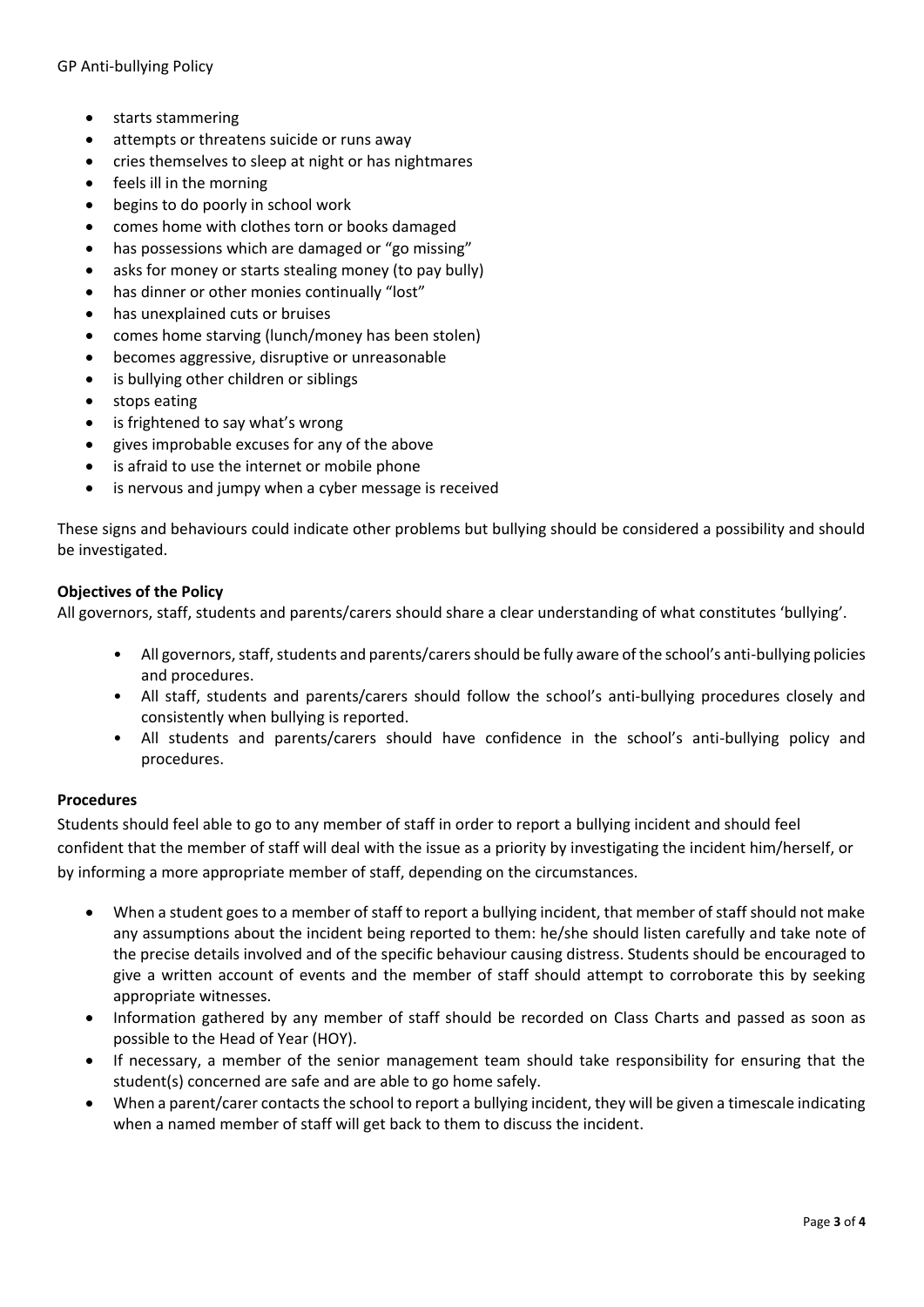- starts stammering
- attempts or threatens suicide or runs away
- cries themselves to sleep at night or has nightmares
- feels ill in the morning
- begins to do poorly in school work
- comes home with clothes torn or books damaged
- has possessions which are damaged or "go missing"
- asks for money or starts stealing money (to pay bully)
- has dinner or other monies continually "lost"
- has unexplained cuts or bruises
- comes home starving (lunch/money has been stolen)
- becomes aggressive, disruptive or unreasonable
- is bullying other children or siblings
- stops eating
- is frightened to say what's wrong
- gives improbable excuses for any of the above
- is afraid to use the internet or mobile phone
- is nervous and jumpy when a cyber message is received

These signs and behaviours could indicate other problems but bullying should be considered a possibility and should be investigated.

#### **Objectives of the Policy**

All governors, staff, students and parents/carers should share a clear understanding of what constitutes 'bullying'.

- All governors, staff, students and parents/carers should be fully aware of the school's anti-bullying policies and procedures.
- All staff, students and parents/carers should follow the school's anti-bullying procedures closely and consistently when bullying is reported.
- All students and parents/carers should have confidence in the school's anti-bullying policy and procedures.

#### **Procedures**

Students should feel able to go to any member of staff in order to report a bullying incident and should feel confident that the member of staff will deal with the issue as a priority by investigating the incident him/herself, or by informing a more appropriate member of staff, depending on the circumstances.

- When a student goes to a member of staff to report a bullying incident, that member of staff should not make any assumptions about the incident being reported to them: he/she should listen carefully and take note of the precise details involved and of the specific behaviour causing distress. Students should be encouraged to give a written account of events and the member of staff should attempt to corroborate this by seeking appropriate witnesses.
- Information gathered by any member of staff should be recorded on Class Charts and passed as soon as possible to the Head of Year (HOY).
- If necessary, a member of the senior management team should take responsibility for ensuring that the student(s) concerned are safe and are able to go home safely.
- When a parent/carer contacts the school to report a bullying incident, they will be given a timescale indicating when a named member of staff will get back to them to discuss the incident.